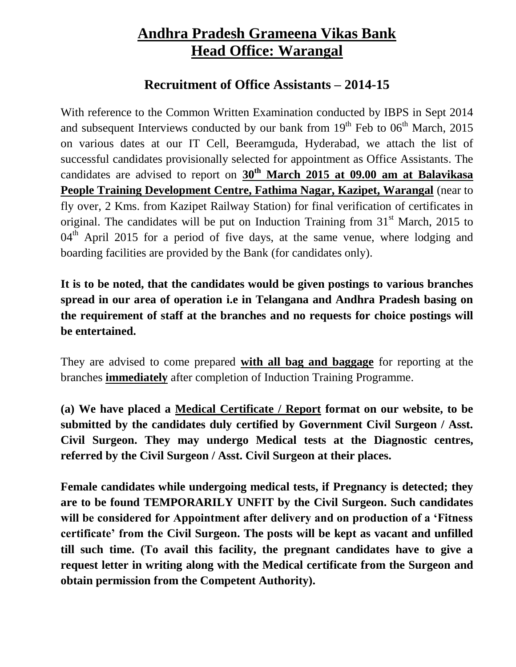## **Andhra Pradesh Grameena Vikas Bank Head Office: Warangal**

## **Recruitment of Office Assistants – 2014-15**

With reference to the Common Written Examination conducted by IBPS in Sept 2014 and subsequent Interviews conducted by our bank from  $19<sup>th</sup>$  Feb to  $06<sup>th</sup>$  March, 2015 on various dates at our IT Cell, Beeramguda, Hyderabad, we attach the list of successful candidates provisionally selected for appointment as Office Assistants. The candidates are advised to report on **30th March 2015 at 09.00 am at Balavikasa People Training Development Centre, Fathima Nagar, Kazipet, Warangal** (near to fly over, 2 Kms. from Kazipet Railway Station) for final verification of certificates in original. The candidates will be put on Induction Training from  $31<sup>st</sup>$  March, 2015 to  $04<sup>th</sup>$  April 2015 for a period of five days, at the same venue, where lodging and boarding facilities are provided by the Bank (for candidates only).

**It is to be noted, that the candidates would be given postings to various branches spread in our area of operation i.e in Telangana and Andhra Pradesh basing on the requirement of staff at the branches and no requests for choice postings will be entertained.** 

They are advised to come prepared **with all bag and baggage** for reporting at the branches **immediately** after completion of Induction Training Programme.

**(a) We have placed a Medical Certificate / Report format on our website, to be submitted by the candidates duly certified by Government Civil Surgeon / Asst. Civil Surgeon. They may undergo Medical tests at the Diagnostic centres, referred by the Civil Surgeon / Asst. Civil Surgeon at their places.**

**Female candidates while undergoing medical tests, if Pregnancy is detected; they are to be found TEMPORARILY UNFIT by the Civil Surgeon. Such candidates will be considered for Appointment after delivery and on production of a 'Fitness certificate' from the Civil Surgeon. The posts will be kept as vacant and unfilled till such time. (To avail this facility, the pregnant candidates have to give a request letter in writing along with the Medical certificate from the Surgeon and obtain permission from the Competent Authority).**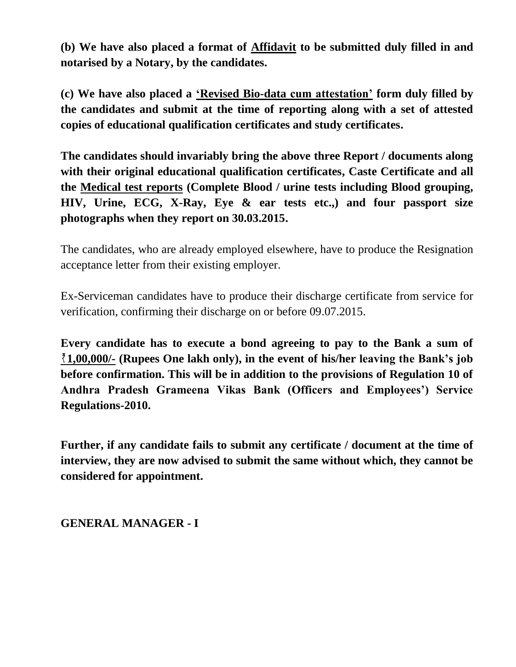**(b) We have also placed a format of Affidavit to be submitted duly filled in and notarised by a Notary, by the candidates.** 

**(c) We have also placed a 'Revised Bio-data cum attestation' form duly filled by the candidates and submit at the time of reporting along with a set of attested copies of educational qualification certificates and study certificates.**

**The candidates should invariably bring the above three Report / documents along with their original educational qualification certificates, Caste Certificate and all the Medical test reports (Complete Blood / urine tests including Blood grouping, HIV, Urine, ECG, X-Ray, Eye & ear tests etc.,) and four passport size photographs when they report on 30.03.2015.**

The candidates, who are already employed elsewhere, have to produce the Resignation acceptance letter from their existing employer.

Ex-Serviceman candidates have to produce their discharge certificate from service for verification, confirming their discharge on or before 09.07.2015.

**Every candidate has to execute a bond agreeing to pay to the Bank a sum of 1,00,000/- (Rupees One lakh only), in the event of his/her leaving the Bank's job before confirmation. This will be in addition to the provisions of Regulation 10 of Andhra Pradesh Grameena Vikas Bank (Officers and Employees') Service Regulations-2010.**

**Further, if any candidate fails to submit any certificate / document at the time of interview, they are now advised to submit the same without which, they cannot be considered for appointment.** 

**GENERAL MANAGER - I**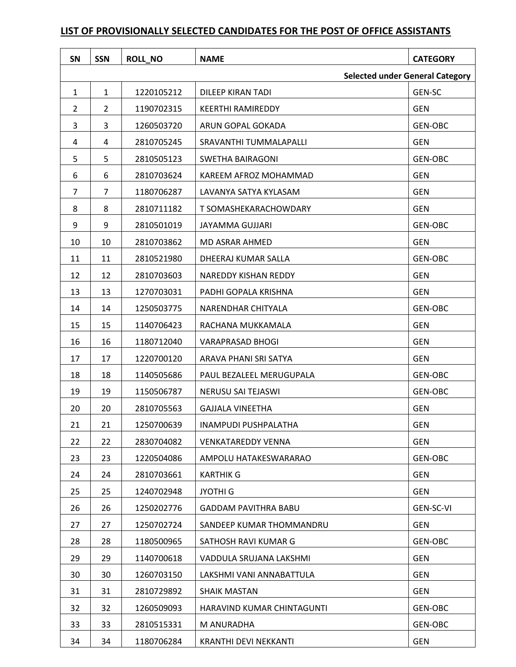## **SN SSN ROLL\_NO NAME CATEGORY Selected under General Category** 1 | 1 | 1220105212 | DILEEP KIRAN TADI | GEN-SC 2 2 2 1190702315 KEERTHI RAMIREDDY GEN 3 3 1260503720 ARUN GOPAL GOKADA GEN-OBC 4 4 2810705245 SRAVANTHI TUMMALAPALLI GEN 5 5 2810505123 SWETHA BAIRAGONI GEN-OBC 6 6 2810703624 KAREEM AFROZ MOHAMMAD 7 7 1180706287 LAVANYA SATYA KYLASAM GEN 8 8 3 2810711182 T SOMASHEKARACHOWDARY GEN 9 9 2810501019 JAYAMMA GUJJARI GEN-OBC 10 10 2810703862 MD ASRAR AHMED GEN 11 | 11 | 2810521980 | DHEERAJ KUMAR SALLA | GEN-OBC 12 12 2810703603 NAREDDY KISHAN REDDY GEN 13 | 13 | 1270703031 | PADHI GOPALA KRISHNA | GEN 14 14 1250503775 NARENDHAR CHITYALA GEN-OBC 15 15 1140706423 RACHANA MUKKAMALA GEN 16 16 1180712040 VARAPRASAD BHOGI GEN 17 17 1220700120 ARAVA PHANI SRI SATYA GEN 18 | 18 | 1140505686 | PAUL BEZALEEL MERUGUPALA | GEN-OBC 19 19 1150506787 NERUSU SAI TEJASWI GEN-OBC 20 20 2810705563 GAJJALA VINEETHA GEN 21 21 1250700639 INAMPUDI PUSHPALATHA GEN 22 22 2830704082 VENKATAREDDY VENNA 23 23 23 23 23 23 23 23 24 220504086 AMPOLU HATAKESWARARAO 20 23 GEN-OBC 24 | 24 | 2810703661 | KARTHIK G GEN 25 25 1240702948 JYOTHI G GEN 26 26 1250202776 GADDAM PAVITHRA BABU GEN-SC-VI 27 | 27 | 1250702724 | SANDEEP KUMAR THOMMANDRU | GEN 28 | 28 | 1180500965 | SATHOSH RAVI KUMAR G | GEN-OBC 29 29 1140700618 VADDULA SRUJANA LAKSHMI GEN 30 30 1260703150 LAKSHMI VANI ANNABATTULA GEN 31 31 2810729892 SHAIK MASTAN GEN 32 32 1260509093 HARAVIND KUMAR CHINTAGUNTI GEN-OBC 33 33 33 38 3810515331 M ANURADHA GEN-OBC 34 34 1180706284 KRANTHI DEVI NEKKANTI GEN

## **LIST OF PROVISIONALLY SELECTED CANDIDATES FOR THE POST OF OFFICE ASSISTANTS**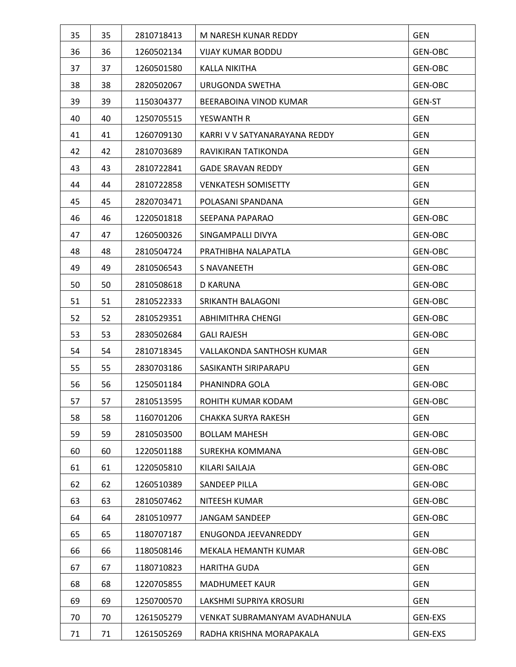| 35 | 35 | 2810718413 | M NARESH KUNAR REDDY          | <b>GEN</b>     |
|----|----|------------|-------------------------------|----------------|
| 36 | 36 | 1260502134 | <b>VIJAY KUMAR BODDU</b>      | <b>GEN-OBC</b> |
| 37 | 37 | 1260501580 | <b>KALLA NIKITHA</b>          | <b>GEN-OBC</b> |
| 38 | 38 | 2820502067 | URUGONDA SWETHA               | <b>GEN-OBC</b> |
| 39 | 39 | 1150304377 | BEERABOINA VINOD KUMAR        | GEN-ST         |
| 40 | 40 | 1250705515 | YESWANTH R                    | <b>GEN</b>     |
| 41 | 41 | 1260709130 | KARRI V V SATYANARAYANA REDDY | <b>GEN</b>     |
| 42 | 42 | 2810703689 | RAVIKIRAN TATIKONDA           | <b>GEN</b>     |
| 43 | 43 | 2810722841 | <b>GADE SRAVAN REDDY</b>      | <b>GEN</b>     |
| 44 | 44 | 2810722858 | <b>VENKATESH SOMISETTY</b>    | <b>GEN</b>     |
| 45 | 45 | 2820703471 | POLASANI SPANDANA             | <b>GEN</b>     |
| 46 | 46 | 1220501818 | SEEPANA PAPARAO               | GEN-OBC        |
| 47 | 47 | 1260500326 | SINGAMPALLI DIVYA             | GEN-OBC        |
| 48 | 48 | 2810504724 | PRATHIBHA NALAPATLA           | GEN-OBC        |
| 49 | 49 | 2810506543 | <b>S NAVANEETH</b>            | <b>GEN-OBC</b> |
| 50 | 50 | 2810508618 | D KARUNA                      | GEN-OBC        |
| 51 | 51 | 2810522333 | SRIKANTH BALAGONI             | GEN-OBC        |
| 52 | 52 | 2810529351 | <b>ABHIMITHRA CHENGI</b>      | GEN-OBC        |
| 53 | 53 | 2830502684 | <b>GALI RAJESH</b>            | GEN-OBC        |
| 54 | 54 | 2810718345 | VALLAKONDA SANTHOSH KUMAR     | <b>GEN</b>     |
| 55 | 55 | 2830703186 | SASIKANTH SIRIPARAPU          | <b>GEN</b>     |
| 56 | 56 | 1250501184 | PHANINDRA GOLA                | <b>GEN-OBC</b> |
| 57 | 57 | 2810513595 | ROHITH KUMAR KODAM            | GEN-OBC        |
| 58 | 58 | 1160701206 | <b>CHAKKA SURYA RAKESH</b>    | <b>GEN</b>     |
| 59 | 59 | 2810503500 | <b>BOLLAM MAHESH</b>          | GEN-OBC        |
| 60 | 60 | 1220501188 | SUREKHA KOMMANA               | GEN-OBC        |
| 61 | 61 | 1220505810 | KILARI SAILAJA                | <b>GEN-OBC</b> |
| 62 | 62 | 1260510389 | SANDEEP PILLA                 | <b>GEN-OBC</b> |
| 63 | 63 | 2810507462 | NITEESH KUMAR                 | GEN-OBC        |
| 64 | 64 | 2810510977 | <b>JANGAM SANDEEP</b>         | GEN-OBC        |
| 65 | 65 | 1180707187 | ENUGONDA JEEVANREDDY          | <b>GEN</b>     |
| 66 | 66 | 1180508146 | MEKALA HEMANTH KUMAR          | GEN-OBC        |
| 67 | 67 | 1180710823 | HARITHA GUDA                  | <b>GEN</b>     |
| 68 | 68 | 1220705855 | <b>MADHUMEET KAUR</b>         | <b>GEN</b>     |
| 69 | 69 | 1250700570 | LAKSHMI SUPRIYA KROSURI       | <b>GEN</b>     |
| 70 | 70 | 1261505279 | VENKAT SUBRAMANYAM AVADHANULA | GEN-EXS        |
| 71 | 71 | 1261505269 | RADHA KRISHNA MORAPAKALA      | <b>GEN-EXS</b> |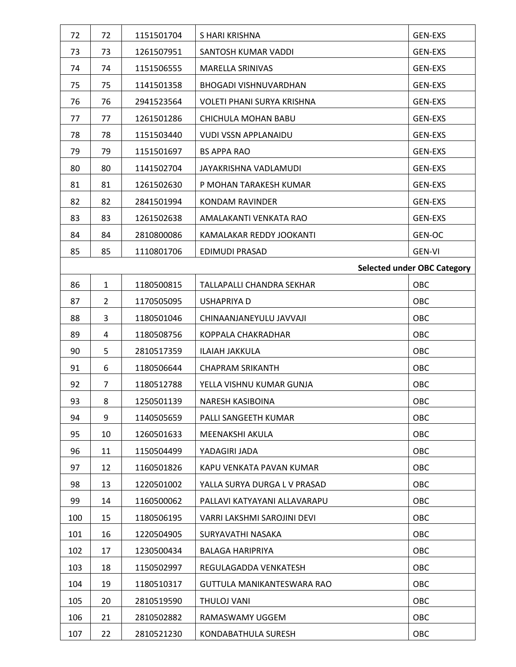| 72  | 72             | 1151501704 | S HARI KRISHNA                    | <b>GEN-EXS</b>                     |
|-----|----------------|------------|-----------------------------------|------------------------------------|
| 73  | 73             | 1261507951 | SANTOSH KUMAR VADDI               | <b>GEN-EXS</b>                     |
| 74  | 74             | 1151506555 | MARELLA SRINIVAS                  | <b>GEN-EXS</b>                     |
| 75  | 75             | 1141501358 | <b>BHOGADI VISHNUVARDHAN</b>      | <b>GEN-EXS</b>                     |
| 76  | 76             | 2941523564 | <b>VOLETI PHANI SURYA KRISHNA</b> | <b>GEN-EXS</b>                     |
| 77  | 77             | 1261501286 | CHICHULA MOHAN BABU               | <b>GEN-EXS</b>                     |
| 78  | 78             | 1151503440 | <b>VUDI VSSN APPLANAIDU</b>       | <b>GEN-EXS</b>                     |
| 79  | 79             | 1151501697 | <b>BS APPA RAO</b>                | <b>GEN-EXS</b>                     |
| 80  | 80             | 1141502704 | JAYAKRISHNA VADLAMUDI             | <b>GEN-EXS</b>                     |
| 81  | 81             | 1261502630 | P MOHAN TARAKESH KUMAR            | <b>GEN-EXS</b>                     |
| 82  | 82             | 2841501994 | <b>KONDAM RAVINDER</b>            | <b>GEN-EXS</b>                     |
| 83  | 83             | 1261502638 | AMALAKANTI VENKATA RAO            | <b>GEN-EXS</b>                     |
| 84  | 84             | 2810800086 | KAMALAKAR REDDY JOOKANTI          | GEN-OC                             |
| 85  | 85             | 1110801706 | EDIMUDI PRASAD                    | <b>GEN-VI</b>                      |
|     |                |            |                                   | <b>Selected under OBC Category</b> |
| 86  | $\mathbf{1}$   | 1180500815 | TALLAPALLI CHANDRA SEKHAR         | OBC                                |
| 87  | $\overline{2}$ | 1170505095 | USHAPRIYA D                       | OBC                                |
| 88  | 3              | 1180501046 | CHINAANJANEYULU JAVVAJI           | OBC                                |
| 89  | 4              | 1180508756 | KOPPALA CHAKRADHAR                | OBC                                |
| 90  | 5              | 2810517359 | <b>ILAIAH JAKKULA</b>             | OBC                                |
| 91  | 6              | 1180506644 | <b>CHAPRAM SRIKANTH</b>           | OBC                                |
| 92  | 7              | 1180512788 | YELLA VISHNU KUMAR GUNJA          | OBC                                |
| 93  | 8              | 1250501139 | NARESH KASIBOINA                  | OBC                                |
| 94  | 9              | 1140505659 | PALLI SANGEETH KUMAR              | OBC                                |
| 95  | 10             | 1260501633 | MEENAKSHI AKULA                   | OBC                                |
| 96  | 11             | 1150504499 | YADAGIRI JADA                     | OBC                                |
| 97  | 12             | 1160501826 | KAPU VENKATA PAVAN KUMAR          | OBC                                |
| 98  | 13             | 1220501002 | YALLA SURYA DURGA L V PRASAD      | OBC                                |
| 99  | 14             | 1160500062 | PALLAVI KATYAYANI ALLAVARAPU      | OBC                                |
| 100 | 15             | 1180506195 | VARRI LAKSHMI SAROJINI DEVI       | OBC                                |
| 101 | 16             | 1220504905 | SURYAVATHI NASAKA                 | OBC                                |
| 102 | 17             | 1230500434 | <b>BALAGA HARIPRIYA</b>           | OBC                                |
| 103 | 18             | 1150502997 | REGULAGADDA VENKATESH             | OBC                                |
| 104 | 19             | 1180510317 | GUTTULA MANIKANTESWARA RAO        | OBC                                |
| 105 | 20             | 2810519590 | THULOJ VANI                       | OBC                                |
| 106 | 21             | 2810502882 | RAMASWAMY UGGEM                   | OBC                                |
| 107 | 22             | 2810521230 | KONDABATHULA SURESH               | OBC                                |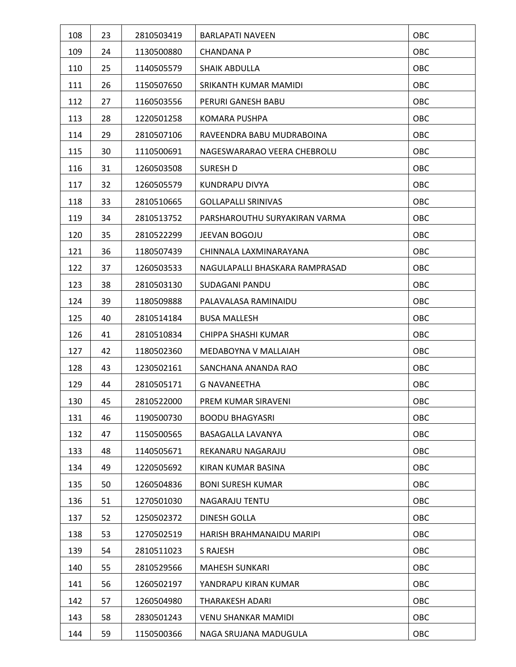| 108 | 23 | 2810503419 | <b>BARLAPATI NAVEEN</b>        | OBC        |
|-----|----|------------|--------------------------------|------------|
| 109 | 24 | 1130500880 | <b>CHANDANA P</b>              | OBC        |
| 110 | 25 | 1140505579 | <b>SHAIK ABDULLA</b>           | OBC        |
| 111 | 26 | 1150507650 | SRIKANTH KUMAR MAMIDI          | OBC        |
| 112 | 27 | 1160503556 | PERURI GANESH BABU             | OBC        |
| 113 | 28 | 1220501258 | <b>KOMARA PUSHPA</b>           | OBC        |
| 114 | 29 | 2810507106 | RAVEENDRA BABU MUDRABOINA      | OBC        |
| 115 | 30 | 1110500691 | NAGESWARARAO VEERA CHEBROLU    | <b>OBC</b> |
| 116 | 31 | 1260503508 | SURESH D                       | OBC        |
| 117 | 32 | 1260505579 | KUNDRAPU DIVYA                 | OBC        |
| 118 | 33 | 2810510665 | <b>GOLLAPALLI SRINIVAS</b>     | OBC        |
| 119 | 34 | 2810513752 | PARSHAROUTHU SURYAKIRAN VARMA  | OBC        |
| 120 | 35 | 2810522299 | JEEVAN BOGOJU                  | OBC        |
| 121 | 36 | 1180507439 | CHINNALA LAXMINARAYANA         | OBC        |
| 122 | 37 | 1260503533 | NAGULAPALLI BHASKARA RAMPRASAD | <b>OBC</b> |
| 123 | 38 | 2810503130 | SUDAGANI PANDU                 | OBC        |
| 124 | 39 | 1180509888 | PALAVALASA RAMINAIDU           | OBC        |
| 125 | 40 | 2810514184 | <b>BUSA MALLESH</b>            | OBC        |
| 126 | 41 | 2810510834 | CHIPPA SHASHI KUMAR            | OBC        |
| 127 | 42 | 1180502360 | MEDABOYNA V MALLAIAH           | OBC        |
| 128 | 43 | 1230502161 | SANCHANA ANANDA RAO            | OBC        |
| 129 | 44 | 2810505171 | <b>G NAVANEETHA</b>            | OBC        |
| 130 | 45 | 2810522000 | PREM KUMAR SIRAVENI            | OBC        |
| 131 | 46 | 1190500730 | <b>BOODU BHAGYASRI</b>         | OBC        |
| 132 | 47 | 1150500565 | BASAGALLA LAVANYA              | OBC        |
| 133 | 48 | 1140505671 | REKANARU NAGARAJU              | OBC        |
| 134 | 49 | 1220505692 | KIRAN KUMAR BASINA             | OBC        |
| 135 | 50 | 1260504836 | <b>BONI SURESH KUMAR</b>       | OBC        |
| 136 | 51 | 1270501030 | <b>NAGARAJU TENTU</b>          | OBC        |
| 137 | 52 | 1250502372 | DINESH GOLLA                   | OBC        |
| 138 | 53 | 1270502519 | HARISH BRAHMANAIDU MARIPI      | OBC        |
| 139 | 54 | 2810511023 | S RAJESH                       | OBC        |
| 140 | 55 | 2810529566 | <b>MAHESH SUNKARI</b>          | OBC        |
| 141 | 56 | 1260502197 | YANDRAPU KIRAN KUMAR           | OBC        |
| 142 | 57 | 1260504980 | THARAKESH ADARI                | OBC        |
| 143 | 58 | 2830501243 | <b>VENU SHANKAR MAMIDI</b>     | OBC        |
| 144 | 59 | 1150500366 | NAGA SRUJANA MADUGULA          | OBC        |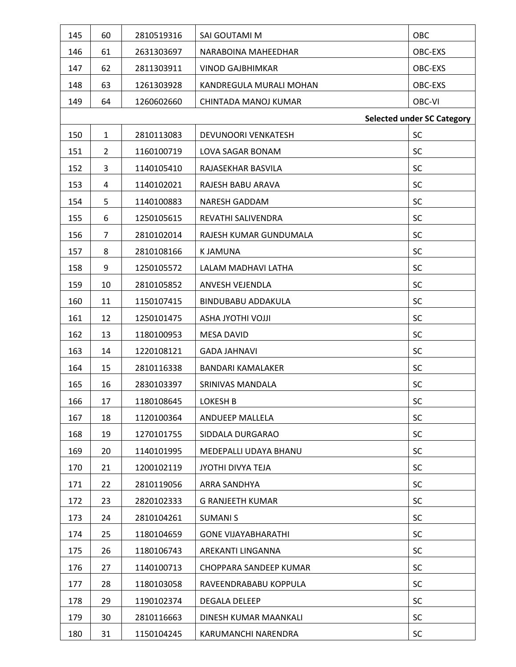| 145 | 60             | 2810519316 | SAI GOUTAMI M              | OBC                               |
|-----|----------------|------------|----------------------------|-----------------------------------|
| 146 | 61             | 2631303697 | NARABOINA MAHEEDHAR        | OBC-EXS                           |
| 147 | 62             | 2811303911 | <b>VINOD GAJBHIMKAR</b>    | OBC-EXS                           |
| 148 | 63             | 1261303928 | KANDREGULA MURALI MOHAN    | OBC-EXS                           |
| 149 | 64             | 1260602660 | CHINTADA MANOJ KUMAR       | OBC-VI                            |
|     |                |            |                            | <b>Selected under SC Category</b> |
| 150 | $\mathbf{1}$   | 2810113083 | DEVUNOORI VENKATESH        | <b>SC</b>                         |
| 151 | $\overline{2}$ | 1160100719 | LOVA SAGAR BONAM           | SC                                |
| 152 | 3              | 1140105410 | RAJASEKHAR BASVILA         | SC                                |
| 153 | 4              | 1140102021 | RAJESH BABU ARAVA          | SC                                |
| 154 | 5              | 1140100883 | <b>NARESH GADDAM</b>       | SC                                |
| 155 | 6              | 1250105615 | REVATHI SALIVENDRA         | SC                                |
| 156 | 7              | 2810102014 | RAJESH KUMAR GUNDUMALA     | <b>SC</b>                         |
| 157 | 8              | 2810108166 | <b>KJAMUNA</b>             | SC                                |
| 158 | 9              | 1250105572 | LALAM MADHAVI LATHA        | SC                                |
| 159 | 10             | 2810105852 | ANVESH VEJENDLA            | SC                                |
| 160 | 11             | 1150107415 | <b>BINDUBABU ADDAKULA</b>  | SC                                |
| 161 | 12             | 1250101475 | <b>ILLOVI IHTOYL AND</b>   | <b>SC</b>                         |
| 162 | 13             | 1180100953 | <b>MESA DAVID</b>          | SC                                |
| 163 | 14             | 1220108121 | <b>GADA JAHNAVI</b>        | SC                                |
| 164 | 15             | 2810116338 | <b>BANDARI KAMALAKER</b>   | SC                                |
| 165 | 16             | 2830103397 | SRINIVAS MANDALA           | SC                                |
| 166 | 17             | 1180108645 | LOKESH B                   | SC                                |
| 167 | 18             | 1120100364 | ANDUEEP MALLELA            | SC                                |
| 168 | 19             | 1270101755 | SIDDALA DURGARAO           | <b>SC</b>                         |
| 169 | 20             | 1140101995 | MEDEPALLI UDAYA BHANU      | <b>SC</b>                         |
| 170 | 21             | 1200102119 | JYOTHI DIVYA TEJA          | SC                                |
| 171 | 22             | 2810119056 | ARRA SANDHYA               | <b>SC</b>                         |
| 172 | 23             | 2820102333 | <b>G RANJEETH KUMAR</b>    | <b>SC</b>                         |
| 173 | 24             | 2810104261 | <b>SUMANIS</b>             | <b>SC</b>                         |
| 174 | 25             | 1180104659 | <b>GONE VIJAYABHARATHI</b> | <b>SC</b>                         |
| 175 | 26             | 1180106743 | AREKANTI LINGANNA          | <b>SC</b>                         |
| 176 | 27             | 1140100713 | CHOPPARA SANDEEP KUMAR     | <b>SC</b>                         |
| 177 | 28             | 1180103058 | RAVEENDRABABU KOPPULA      | SC                                |
| 178 | 29             | 1190102374 | <b>DEGALA DELEEP</b>       | SC                                |
| 179 | 30             | 2810116663 | DINESH KUMAR MAANKALI      | <b>SC</b>                         |
| 180 | 31             | 1150104245 | KARUMANCHI NARENDRA        | SC                                |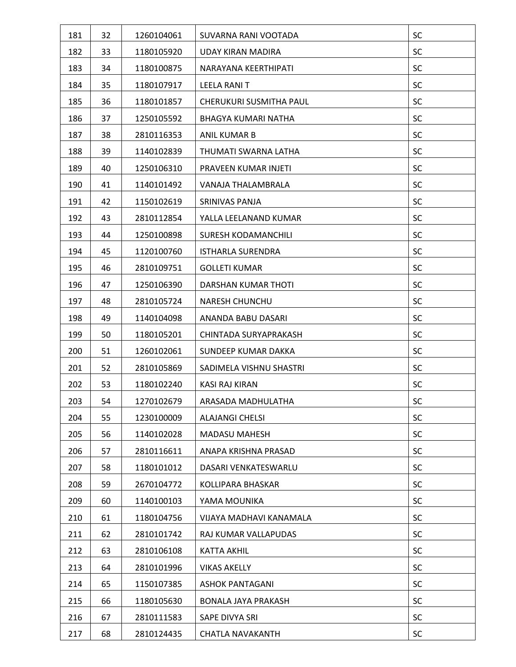| 181 | 32 | 1260104061 | SUVARNA RANI VOOTADA       | SC        |
|-----|----|------------|----------------------------|-----------|
| 182 | 33 | 1180105920 | <b>UDAY KIRAN MADIRA</b>   | SC        |
| 183 | 34 | 1180100875 | NARAYANA KEERTHIPATI       | SC        |
| 184 | 35 | 1180107917 | LEELA RANI T               | <b>SC</b> |
| 185 | 36 | 1180101857 | CHERUKURI SUSMITHA PAUL    | SC        |
| 186 | 37 | 1250105592 | BHAGYA KUMARI NATHA        | SC        |
| 187 | 38 | 2810116353 | ANIL KUMAR B               | SC        |
| 188 | 39 | 1140102839 | THUMATI SWARNA LATHA       | SC        |
| 189 | 40 | 1250106310 | PRAVEEN KUMAR INJETI       | <b>SC</b> |
| 190 | 41 | 1140101492 | VANAJA THALAMBRALA         | <b>SC</b> |
| 191 | 42 | 1150102619 | SRINIVAS PANJA             | SC        |
| 192 | 43 | 2810112854 | YALLA LEELANAND KUMAR      | <b>SC</b> |
| 193 | 44 | 1250100898 | SURESH KODAMANCHILI        | SC        |
| 194 | 45 | 1120100760 | <b>ISTHARLA SURENDRA</b>   | SC        |
| 195 | 46 | 2810109751 | <b>GOLLETI KUMAR</b>       | SC        |
| 196 | 47 | 1250106390 | DARSHAN KUMAR THOTI        | <b>SC</b> |
| 197 | 48 | 2810105724 | <b>NARESH CHUNCHU</b>      | SC        |
| 198 | 49 | 1140104098 | ANANDA BABU DASARI         | SC        |
| 199 | 50 | 1180105201 | CHINTADA SURYAPRAKASH      | <b>SC</b> |
| 200 | 51 | 1260102061 | SUNDEEP KUMAR DAKKA        | SC        |
| 201 | 52 | 2810105869 | SADIMELA VISHNU SHASTRI    | <b>SC</b> |
| 202 | 53 | 1180102240 | <b>KASI RAJ KIRAN</b>      | SC        |
| 203 | 54 | 1270102679 | ARASADA MADHULATHA         | SC        |
| 204 | 55 | 1230100009 | <b>ALAJANGI CHELSI</b>     | SC        |
| 205 | 56 | 1140102028 | <b>MADASU MAHESH</b>       | <b>SC</b> |
| 206 | 57 | 2810116611 | ANAPA KRISHNA PRASAD       | <b>SC</b> |
| 207 | 58 | 1180101012 | DASARI VENKATESWARLU       | SC        |
| 208 | 59 | 2670104772 | KOLLIPARA BHASKAR          | <b>SC</b> |
| 209 | 60 | 1140100103 | YAMA MOUNIKA               | <b>SC</b> |
| 210 | 61 | 1180104756 | VIJAYA MADHAVI KANAMALA    | <b>SC</b> |
| 211 | 62 | 2810101742 | RAJ KUMAR VALLAPUDAS       | SC        |
| 212 | 63 | 2810106108 | KATTA AKHIL                | SC        |
| 213 | 64 | 2810101996 | <b>VIKAS AKELLY</b>        | <b>SC</b> |
| 214 | 65 | 1150107385 | <b>ASHOK PANTAGANI</b>     | SC        |
| 215 | 66 | 1180105630 | <b>BONALA JAYA PRAKASH</b> | SC        |
| 216 | 67 | 2810111583 | SAPE DIVYA SRI             | <b>SC</b> |
| 217 | 68 | 2810124435 | <b>CHATLA NAVAKANTH</b>    | SC        |